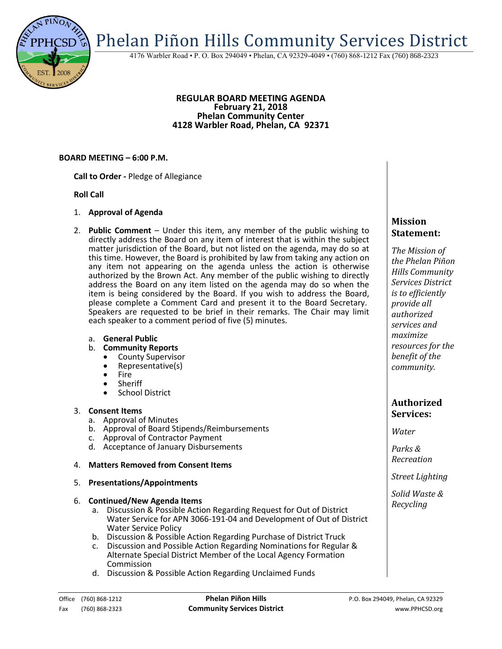Phelan Piñon Hills Community Services District

4176 Warbler Road • P. O. Box 294049 • Phelan, CA 92329-4049 • (760) 868-1212 Fax (760) 868-2323

### **REGULAR BOARD MEETING AGENDA February 21, 2018 Phelan Community Center 4128 Warbler Road, Phelan, CA 92371**

## **BOARD MEETING – 6:00 P.M.**

**Call to Order -** Pledge of Allegiance

## **Roll Call**

- 1. **Approval of Agenda**
- 2. **Public Comment**  Under this item, any member of the public wishing to directly address the Board on any item of interest that is within the subject matter jurisdiction of the Board, but not listed on the agenda, may do so at this time. However, the Board is prohibited by law from taking any action on any item not appearing on the agenda unless the action is otherwise authorized by the Brown Act. Any member of the public wishing to directly address the Board on any item listed on the agenda may do so when the item is being considered by the Board. If you wish to address the Board, please complete a Comment Card and present it to the Board Secretary. Speakers are requested to be brief in their remarks. The Chair may limit each speaker to a comment period of five (5) minutes.
	- a. **General Public**
	- b. **Community Reports**
		- County Supervisor
		- Representative(s)
		- Fire
		- Sheriff
		- School District

### 3. **Consent Items**

- a. Approval of Minutes
- b. Approval of Board Stipends/Reimbursements
- c. Approval of Contractor Payment
- d. Acceptance of January Disbursements

## 4. **Matters Removed from Consent Items**

5. **Presentations/Appointments**

## 6. **Continued/New Agenda Items**

- a. Discussion & Possible Action Regarding Request for Out of District Water Service for APN 3066-191-04 and Development of Out of District Water Service Policy
- b. Discussion & Possible Action Regarding Purchase of District Truck
- c. Discussion and Possible Action Regarding Nominations for Regular & Alternate Special District Member of the Local Agency Formation Commission
- d. Discussion & Possible Action Regarding Unclaimed Funds

# *The Mission of*

**Mission Statement:**

*the Phelan Piñon Hills Community Services District is to efficiently provide all authorized services and maximize resources for the benefit of the community.*

# **Authorized Services:**

*Water*

*Parks & Recreation*

*Street Lighting*

*Solid Waste & Recycling*